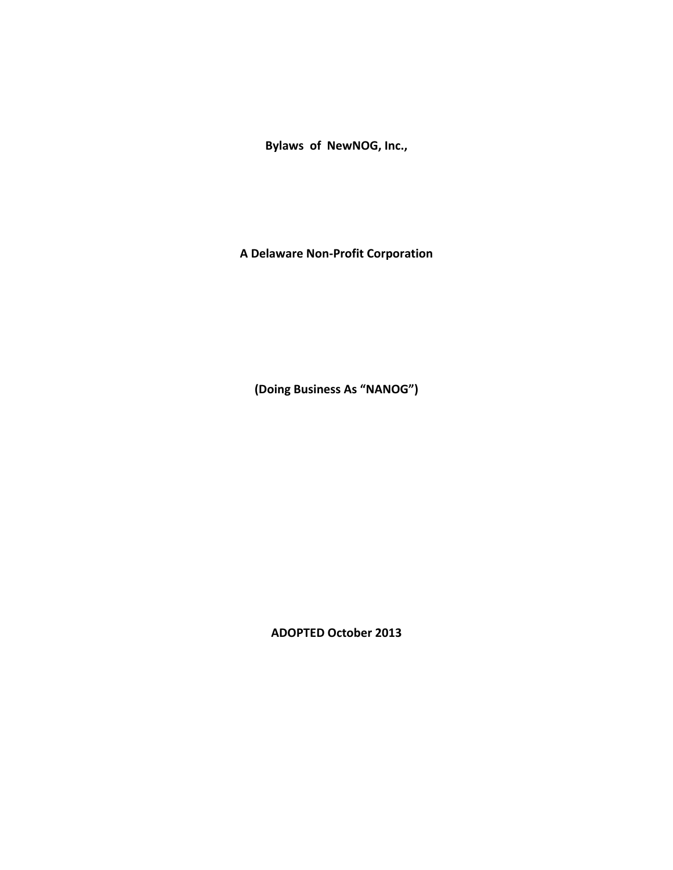**Bylaws of NewNOG, Inc.,** 

**A Delaware Non-Profit Corporation**

**(Doing Business As "NANOG")**

**ADOPTED October 2013**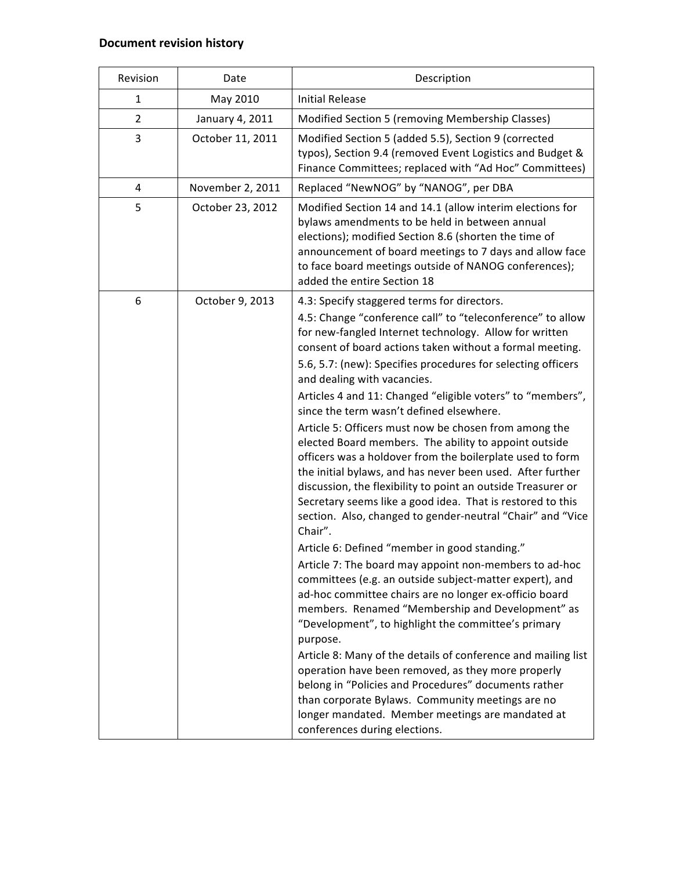# **Document revision history**

| Revision       | Date             | Description                                                                                                                                                                                                                                                                                                                                                                                                                                                                                                                                                                                                                                                                                                                                                                                                                                                                                                                                                                                                                                                                                                                                                                                                                                                                                                                                                                                                                                                                                                                  |
|----------------|------------------|------------------------------------------------------------------------------------------------------------------------------------------------------------------------------------------------------------------------------------------------------------------------------------------------------------------------------------------------------------------------------------------------------------------------------------------------------------------------------------------------------------------------------------------------------------------------------------------------------------------------------------------------------------------------------------------------------------------------------------------------------------------------------------------------------------------------------------------------------------------------------------------------------------------------------------------------------------------------------------------------------------------------------------------------------------------------------------------------------------------------------------------------------------------------------------------------------------------------------------------------------------------------------------------------------------------------------------------------------------------------------------------------------------------------------------------------------------------------------------------------------------------------------|
| 1              | May 2010         | <b>Initial Release</b>                                                                                                                                                                                                                                                                                                                                                                                                                                                                                                                                                                                                                                                                                                                                                                                                                                                                                                                                                                                                                                                                                                                                                                                                                                                                                                                                                                                                                                                                                                       |
| $\overline{2}$ | January 4, 2011  | Modified Section 5 (removing Membership Classes)                                                                                                                                                                                                                                                                                                                                                                                                                                                                                                                                                                                                                                                                                                                                                                                                                                                                                                                                                                                                                                                                                                                                                                                                                                                                                                                                                                                                                                                                             |
| 3              | October 11, 2011 | Modified Section 5 (added 5.5), Section 9 (corrected<br>typos), Section 9.4 (removed Event Logistics and Budget &<br>Finance Committees; replaced with "Ad Hoc" Committees)                                                                                                                                                                                                                                                                                                                                                                                                                                                                                                                                                                                                                                                                                                                                                                                                                                                                                                                                                                                                                                                                                                                                                                                                                                                                                                                                                  |
| 4              | November 2, 2011 | Replaced "NewNOG" by "NANOG", per DBA                                                                                                                                                                                                                                                                                                                                                                                                                                                                                                                                                                                                                                                                                                                                                                                                                                                                                                                                                                                                                                                                                                                                                                                                                                                                                                                                                                                                                                                                                        |
| 5              | October 23, 2012 | Modified Section 14 and 14.1 (allow interim elections for<br>bylaws amendments to be held in between annual<br>elections); modified Section 8.6 (shorten the time of<br>announcement of board meetings to 7 days and allow face<br>to face board meetings outside of NANOG conferences);<br>added the entire Section 18                                                                                                                                                                                                                                                                                                                                                                                                                                                                                                                                                                                                                                                                                                                                                                                                                                                                                                                                                                                                                                                                                                                                                                                                      |
| 6              | October 9, 2013  | 4.3: Specify staggered terms for directors.                                                                                                                                                                                                                                                                                                                                                                                                                                                                                                                                                                                                                                                                                                                                                                                                                                                                                                                                                                                                                                                                                                                                                                                                                                                                                                                                                                                                                                                                                  |
|                |                  | 4.5: Change "conference call" to "teleconference" to allow<br>for new-fangled Internet technology. Allow for written<br>consent of board actions taken without a formal meeting.<br>5.6, 5.7: (new): Specifies procedures for selecting officers<br>and dealing with vacancies.<br>Articles 4 and 11: Changed "eligible voters" to "members",<br>since the term wasn't defined elsewhere.<br>Article 5: Officers must now be chosen from among the<br>elected Board members. The ability to appoint outside<br>officers was a holdover from the boilerplate used to form<br>the initial bylaws, and has never been used. After further<br>discussion, the flexibility to point an outside Treasurer or<br>Secretary seems like a good idea. That is restored to this<br>section. Also, changed to gender-neutral "Chair" and "Vice<br>Chair".<br>Article 6: Defined "member in good standing."<br>Article 7: The board may appoint non-members to ad-hoc<br>committees (e.g. an outside subject-matter expert), and<br>ad-hoc committee chairs are no longer ex-officio board<br>members. Renamed "Membership and Development" as<br>"Development", to highlight the committee's primary<br>purpose.<br>Article 8: Many of the details of conference and mailing list<br>operation have been removed, as they more properly<br>belong in "Policies and Procedures" documents rather<br>than corporate Bylaws. Community meetings are no<br>longer mandated. Member meetings are mandated at<br>conferences during elections. |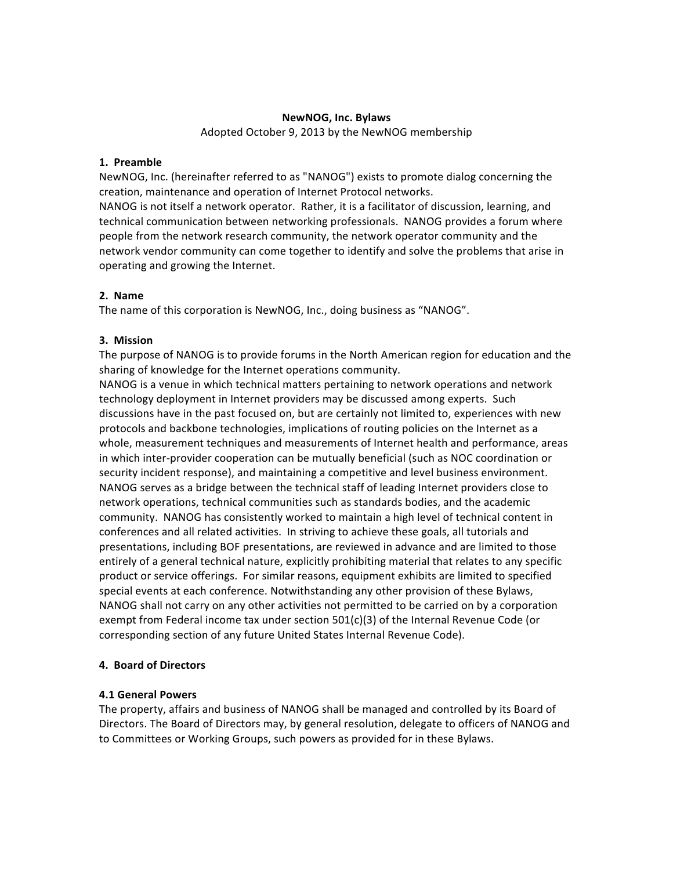### **NewNOG, Inc. Bylaws**

Adopted October 9, 2013 by the NewNOG membership

### **1. Preamble**

NewNOG, Inc. (hereinafter referred to as "NANOG") exists to promote dialog concerning the creation, maintenance and operation of Internet Protocol networks. NANOG is not itself a network operator. Rather, it is a facilitator of discussion, learning, and technical communication between networking professionals. NANOG provides a forum where people from the network research community, the network operator community and the network vendor community can come together to identify and solve the problems that arise in operating and growing the Internet.

# **2. Name**

The name of this corporation is NewNOG, Inc., doing business as "NANOG".

# **3. Mission**

The purpose of NANOG is to provide forums in the North American region for education and the sharing of knowledge for the Internet operations community.

NANOG is a venue in which technical matters pertaining to network operations and network technology deployment in Internet providers may be discussed among experts. Such discussions have in the past focused on, but are certainly not limited to, experiences with new protocols and backbone technologies, implications of routing policies on the Internet as a whole, measurement techniques and measurements of Internet health and performance, areas in which inter-provider cooperation can be mutually beneficial (such as NOC coordination or security incident response), and maintaining a competitive and level business environment. NANOG serves as a bridge between the technical staff of leading Internet providers close to network operations, technical communities such as standards bodies, and the academic community. NANOG has consistently worked to maintain a high level of technical content in conferences and all related activities. In striving to achieve these goals, all tutorials and presentations, including BOF presentations, are reviewed in advance and are limited to those entirely of a general technical nature, explicitly prohibiting material that relates to any specific product or service offerings. For similar reasons, equipment exhibits are limited to specified special events at each conference. Notwithstanding any other provision of these Bylaws, NANOG shall not carry on any other activities not permitted to be carried on by a corporation exempt from Federal income tax under section  $501(c)(3)$  of the Internal Revenue Code (or corresponding section of any future United States Internal Revenue Code).

# **4. Board of Directors**

### **4.1 General Powers**

The property, affairs and business of NANOG shall be managed and controlled by its Board of Directors. The Board of Directors may, by general resolution, delegate to officers of NANOG and to Committees or Working Groups, such powers as provided for in these Bylaws.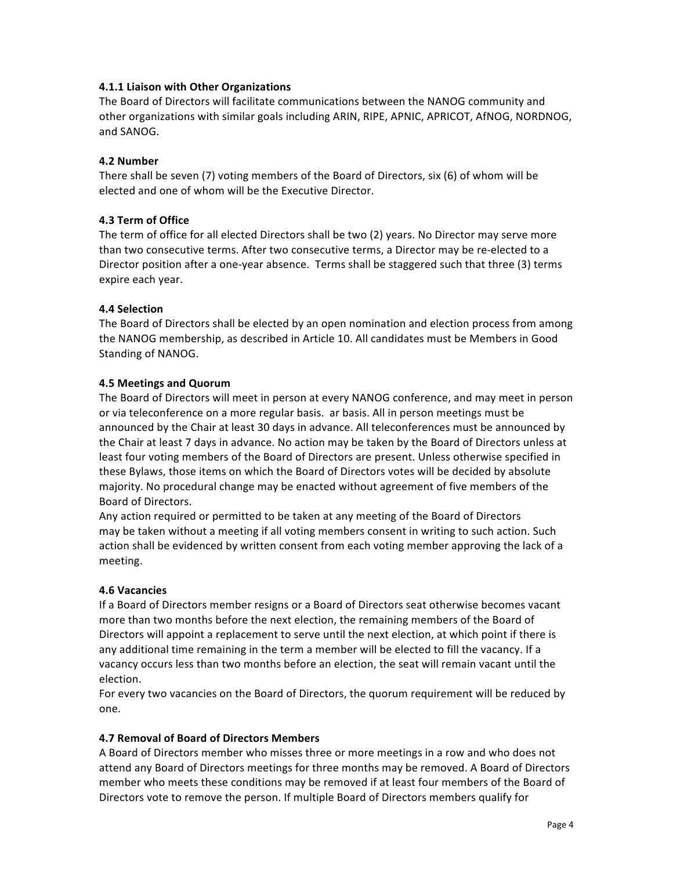# **4.1.1 Liaison with Other Organizations**

The Board of Directors will facilitate communications between the NANOG community and other organizations with similar goals including ARIN, RIPE, APNIC, APRICOT, AfNOG, NORDNOG, and SANOG.

## **4.2 Number**

There shall be seven  $(7)$  voting members of the Board of Directors, six  $(6)$  of whom will be elected and one of whom will be the Executive Director.

## **4.3 Term of Office**

The term of office for all elected Directors shall be two (2) years. No Director may serve more than two consecutive terms. After two consecutive terms, a Director may be re-elected to a Director position after a one-year absence. Terms shall be staggered such that three (3) terms expire each year.

## **4.4 Selection**

The Board of Directors shall be elected by an open nomination and election process from among the NANOG membership, as described in Article 10. All candidates must be Members in Good Standing of NANOG.

## **4.5 Meetings and Quorum**

The Board of Directors will meet in person at every NANOG conference, and may meet in person or via teleconference on a more regular basis. ar basis. All in person meetings must be announced by the Chair at least 30 days in advance. All teleconferences must be announced by the Chair at least 7 days in advance. No action may be taken by the Board of Directors unless at least four voting members of the Board of Directors are present. Unless otherwise specified in these Bylaws, those items on which the Board of Directors votes will be decided by absolute majority. No procedural change may be enacted without agreement of five members of the Board of Directors.

Any action required or permitted to be taken at any meeting of the Board of Directors may be taken without a meeting if all voting members consent in writing to such action. Such action shall be evidenced by written consent from each voting member approving the lack of a meeting.

### **4.6 Vacancies**

If a Board of Directors member resigns or a Board of Directors seat otherwise becomes vacant more than two months before the next election, the remaining members of the Board of Directors will appoint a replacement to serve until the next election, at which point if there is any additional time remaining in the term a member will be elected to fill the vacancy. If a vacancy occurs less than two months before an election, the seat will remain vacant until the election.

For every two vacancies on the Board of Directors, the quorum requirement will be reduced by one.

### **4.7 Removal of Board of Directors Members**

A Board of Directors member who misses three or more meetings in a row and who does not attend any Board of Directors meetings for three months may be removed. A Board of Directors member who meets these conditions may be removed if at least four members of the Board of Directors vote to remove the person. If multiple Board of Directors members qualify for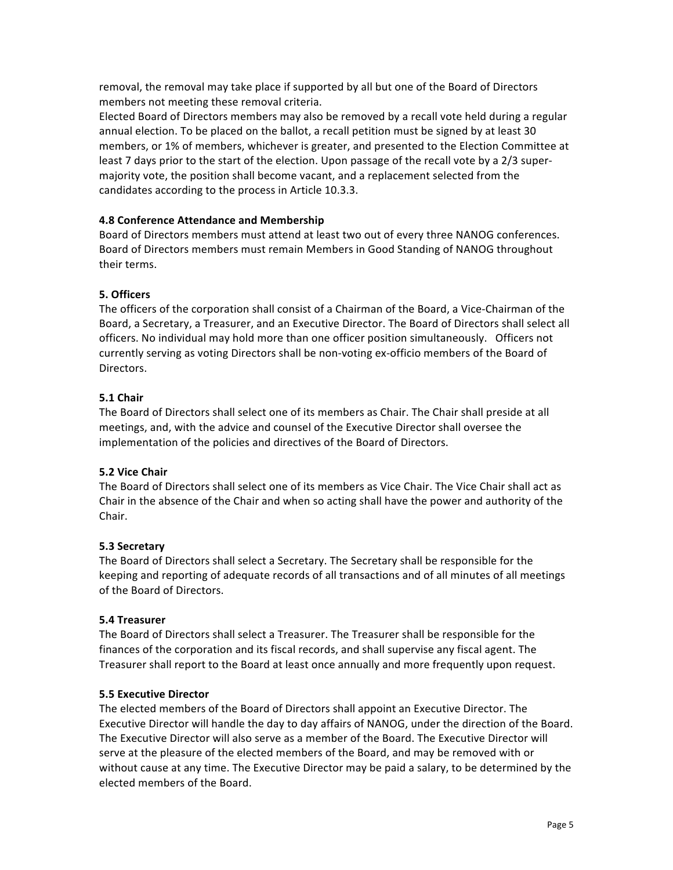removal, the removal may take place if supported by all but one of the Board of Directors members not meeting these removal criteria.

Elected Board of Directors members may also be removed by a recall vote held during a regular annual election. To be placed on the ballot, a recall petition must be signed by at least 30 members, or 1% of members, whichever is greater, and presented to the Election Committee at least 7 days prior to the start of the election. Upon passage of the recall vote by a 2/3 supermajority vote, the position shall become vacant, and a replacement selected from the candidates according to the process in Article 10.3.3.

# **4.8 Conference Attendance and Membership**

Board of Directors members must attend at least two out of every three NANOG conferences. Board of Directors members must remain Members in Good Standing of NANOG throughout their terms.

# **5. Officers**

The officers of the corporation shall consist of a Chairman of the Board, a Vice-Chairman of the Board, a Secretary, a Treasurer, and an Executive Director. The Board of Directors shall select all officers. No individual may hold more than one officer position simultaneously. Officers not currently serving as voting Directors shall be non-voting ex-officio members of the Board of Directors.

# **5.1 Chair**

The Board of Directors shall select one of its members as Chair. The Chair shall preside at all meetings, and, with the advice and counsel of the Executive Director shall oversee the implementation of the policies and directives of the Board of Directors.

# **5.2 Vice Chair**

The Board of Directors shall select one of its members as Vice Chair. The Vice Chair shall act as Chair in the absence of the Chair and when so acting shall have the power and authority of the Chair.

# **5.3 Secretary**

The Board of Directors shall select a Secretary. The Secretary shall be responsible for the keeping and reporting of adequate records of all transactions and of all minutes of all meetings of the Board of Directors.

# **5.4 Treasurer**

The Board of Directors shall select a Treasurer. The Treasurer shall be responsible for the finances of the corporation and its fiscal records, and shall supervise any fiscal agent. The Treasurer shall report to the Board at least once annually and more frequently upon request.

# **5.5 Executive Director**

The elected members of the Board of Directors shall appoint an Executive Director. The Executive Director will handle the day to day affairs of NANOG, under the direction of the Board. The Executive Director will also serve as a member of the Board. The Executive Director will serve at the pleasure of the elected members of the Board, and may be removed with or without cause at any time. The Executive Director may be paid a salary, to be determined by the elected members of the Board.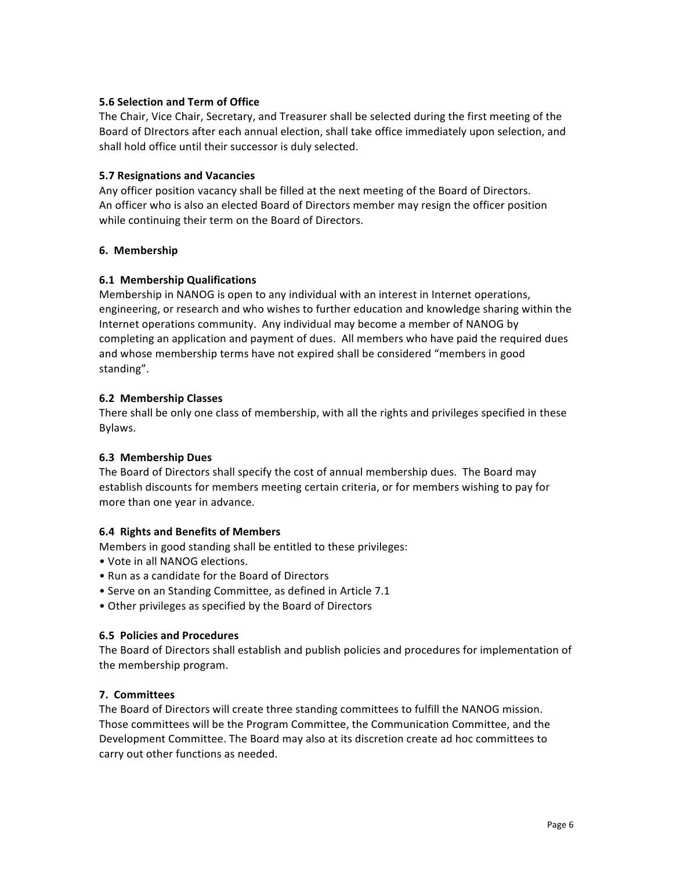# **5.6 Selection and Term of Office**

The Chair, Vice Chair, Secretary, and Treasurer shall be selected during the first meeting of the Board of DIrectors after each annual election, shall take office immediately upon selection, and shall hold office until their successor is duly selected.

## **5.7 Resignations and Vacancies**

Any officer position vacancy shall be filled at the next meeting of the Board of Directors. An officer who is also an elected Board of Directors member may resign the officer position while continuing their term on the Board of Directors.

## **6. Membership**

## **6.1 Membership Qualifications**

Membership in NANOG is open to any individual with an interest in Internet operations, engineering, or research and who wishes to further education and knowledge sharing within the Internet operations community. Any individual may become a member of NANOG by completing an application and payment of dues. All members who have paid the required dues and whose membership terms have not expired shall be considered "members in good standing".

## **6.2 Membership Classes**

There shall be only one class of membership, with all the rights and privileges specified in these Bylaws.

### **6.3 Membership Dues**

The Board of Directors shall specify the cost of annual membership dues. The Board may establish discounts for members meeting certain criteria, or for members wishing to pay for more than one year in advance.

# **6.4 Rights and Benefits of Members**

Members in good standing shall be entitled to these privileges:

- Vote in all NANOG elections.
- Run as a candidate for the Board of Directors
- Serve on an Standing Committee, as defined in Article 7.1
- Other privileges as specified by the Board of Directors

### **6.5 Policies and Procedures**

The Board of Directors shall establish and publish policies and procedures for implementation of the membership program.

# **7. Committees**

The Board of Directors will create three standing committees to fulfill the NANOG mission. Those committees will be the Program Committee, the Communication Committee, and the Development Committee. The Board may also at its discretion create ad hoc committees to carry out other functions as needed.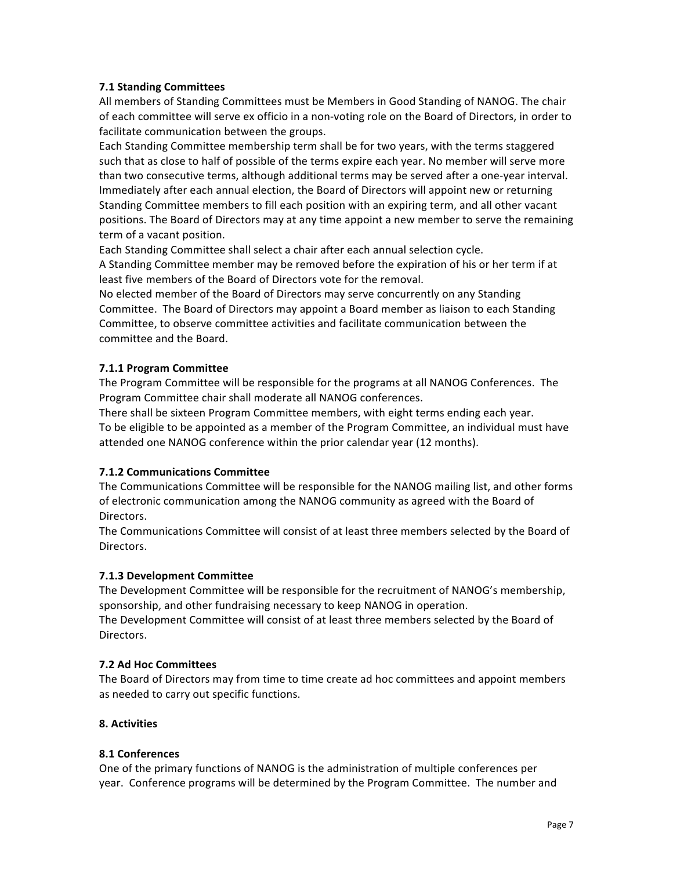# **7.1 Standing Committees**

All members of Standing Committees must be Members in Good Standing of NANOG. The chair of each committee will serve ex officio in a non-voting role on the Board of Directors, in order to facilitate communication between the groups.

Each Standing Committee membership term shall be for two years, with the terms staggered such that as close to half of possible of the terms expire each year. No member will serve more than two consecutive terms, although additional terms may be served after a one-year interval. Immediately after each annual election, the Board of Directors will appoint new or returning Standing Committee members to fill each position with an expiring term, and all other vacant positions. The Board of Directors may at any time appoint a new member to serve the remaining term of a vacant position.

Each Standing Committee shall select a chair after each annual selection cycle.

A Standing Committee member may be removed before the expiration of his or her term if at least five members of the Board of Directors vote for the removal.

No elected member of the Board of Directors may serve concurrently on any Standing Committee. The Board of Directors may appoint a Board member as liaison to each Standing Committee, to observe committee activities and facilitate communication between the committee and the Board.

# **7.1.1 Program Committee**

The Program Committee will be responsible for the programs at all NANOG Conferences. The Program Committee chair shall moderate all NANOG conferences.

There shall be sixteen Program Committee members, with eight terms ending each year. To be eligible to be appointed as a member of the Program Committee, an individual must have attended one NANOG conference within the prior calendar year (12 months).

# **7.1.2 Communications Committee**

The Communications Committee will be responsible for the NANOG mailing list, and other forms of electronic communication among the NANOG community as agreed with the Board of Directors.

The Communications Committee will consist of at least three members selected by the Board of Directors.

# **7.1.3 Development Committee**

The Development Committee will be responsible for the recruitment of NANOG's membership, sponsorship, and other fundraising necessary to keep NANOG in operation.

The Development Committee will consist of at least three members selected by the Board of Directors. 

# **7.2 Ad Hoc Committees**

The Board of Directors may from time to time create ad hoc committees and appoint members as needed to carry out specific functions.

# **8. Activities**

# **8.1 Conferences**

One of the primary functions of NANOG is the administration of multiple conferences per year. Conference programs will be determined by the Program Committee. The number and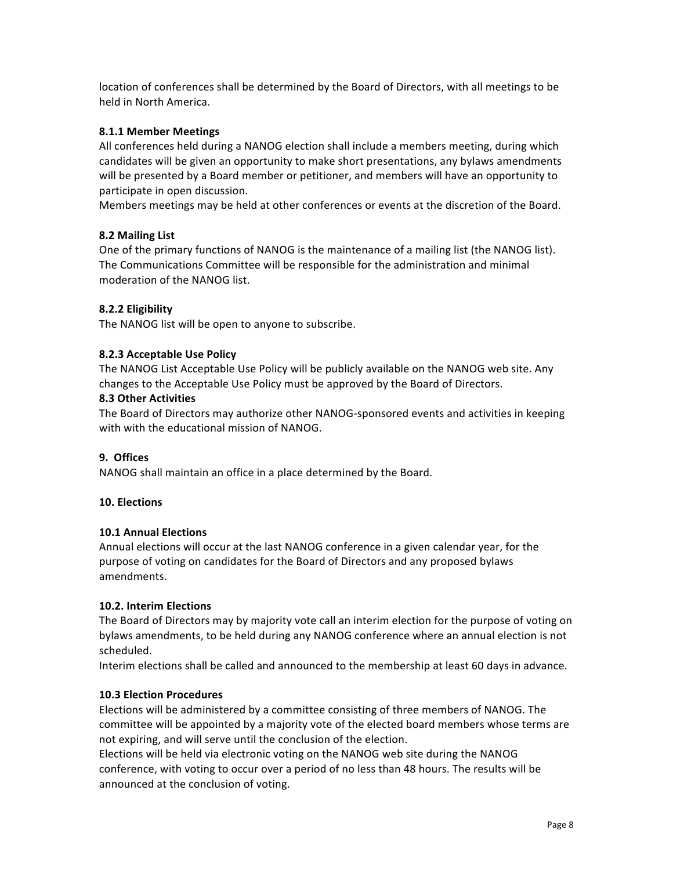location of conferences shall be determined by the Board of Directors, with all meetings to be held in North America.

## **8.1.1 Member Meetings**

All conferences held during a NANOG election shall include a members meeting, during which candidates will be given an opportunity to make short presentations, any bylaws amendments will be presented by a Board member or petitioner, and members will have an opportunity to participate in open discussion.

Members meetings may be held at other conferences or events at the discretion of the Board.

## **8.2 Mailing List**

One of the primary functions of NANOG is the maintenance of a mailing list (the NANOG list). The Communications Committee will be responsible for the administration and minimal moderation of the NANOG list.

## **8.2.2 Eligibility**

The NANOG list will be open to anyone to subscribe.

## **8.2.3 Acceptable Use Policy**

The NANOG List Acceptable Use Policy will be publicly available on the NANOG web site. Any changes to the Acceptable Use Policy must be approved by the Board of Directors.

## **8.3 Other Activities**

The Board of Directors may authorize other NANOG-sponsored events and activities in keeping with with the educational mission of NANOG.

## **9. Offices**

NANOG shall maintain an office in a place determined by the Board.

### **10. Elections**

### **10.1 Annual Elections**

Annual elections will occur at the last NANOG conference in a given calendar year, for the purpose of voting on candidates for the Board of Directors and any proposed bylaws amendments. 

### **10.2. Interim Elections**

The Board of Directors may by majority vote call an interim election for the purpose of voting on bylaws amendments, to be held during any NANOG conference where an annual election is not scheduled.

Interim elections shall be called and announced to the membership at least 60 days in advance.

### **10.3 Election Procedures**

Elections will be administered by a committee consisting of three members of NANOG. The committee will be appointed by a majority vote of the elected board members whose terms are not expiring, and will serve until the conclusion of the election.

Elections will be held via electronic voting on the NANOG web site during the NANOG conference, with voting to occur over a period of no less than 48 hours. The results will be announced at the conclusion of voting.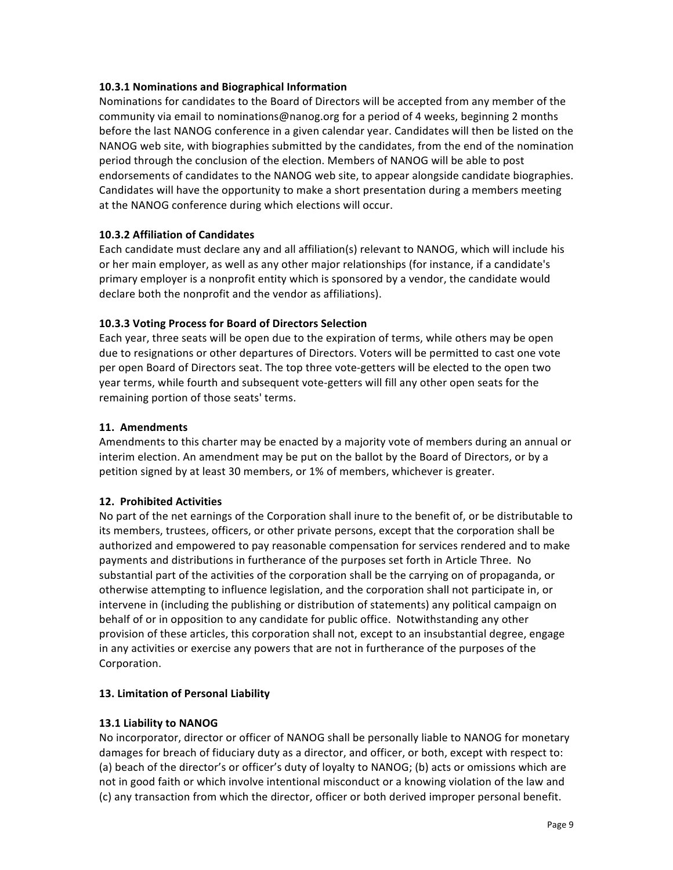# **10.3.1 Nominations and Biographical Information**

Nominations for candidates to the Board of Directors will be accepted from any member of the community via email to nominations@nanog.org for a period of 4 weeks, beginning 2 months before the last NANOG conference in a given calendar year. Candidates will then be listed on the NANOG web site, with biographies submitted by the candidates, from the end of the nomination period through the conclusion of the election. Members of NANOG will be able to post endorsements of candidates to the NANOG web site, to appear alongside candidate biographies. Candidates will have the opportunity to make a short presentation during a members meeting at the NANOG conference during which elections will occur.

# **10.3.2 Affiliation of Candidates**

Each candidate must declare any and all affiliation(s) relevant to NANOG, which will include his or her main employer, as well as any other major relationships (for instance, if a candidate's primary employer is a nonprofit entity which is sponsored by a vendor, the candidate would declare both the nonprofit and the vendor as affiliations).

# **10.3.3 Voting Process for Board of Directors Selection**

Each year, three seats will be open due to the expiration of terms, while others may be open due to resignations or other departures of Directors. Voters will be permitted to cast one vote per open Board of Directors seat. The top three vote-getters will be elected to the open two year terms, while fourth and subsequent vote-getters will fill any other open seats for the remaining portion of those seats' terms.

# **11. Amendments**

Amendments to this charter may be enacted by a majority vote of members during an annual or interim election. An amendment may be put on the ballot by the Board of Directors, or by a petition signed by at least 30 members, or 1% of members, whichever is greater.

# **12. Prohibited Activities**

No part of the net earnings of the Corporation shall inure to the benefit of, or be distributable to its members, trustees, officers, or other private persons, except that the corporation shall be authorized and empowered to pay reasonable compensation for services rendered and to make payments and distributions in furtherance of the purposes set forth in Article Three. No substantial part of the activities of the corporation shall be the carrying on of propaganda, or otherwise attempting to influence legislation, and the corporation shall not participate in, or intervene in (including the publishing or distribution of statements) any political campaign on behalf of or in opposition to any candidate for public office. Notwithstanding any other provision of these articles, this corporation shall not, except to an insubstantial degree, engage in any activities or exercise any powers that are not in furtherance of the purposes of the Corporation.

# **13. Limitation of Personal Liability**

# **13.1 Liability to NANOG**

No incorporator, director or officer of NANOG shall be personally liable to NANOG for monetary damages for breach of fiduciary duty as a director, and officer, or both, except with respect to: (a) beach of the director's or officer's duty of loyalty to NANOG; (b) acts or omissions which are not in good faith or which involve intentional misconduct or a knowing violation of the law and (c) any transaction from which the director, officer or both derived improper personal benefit.